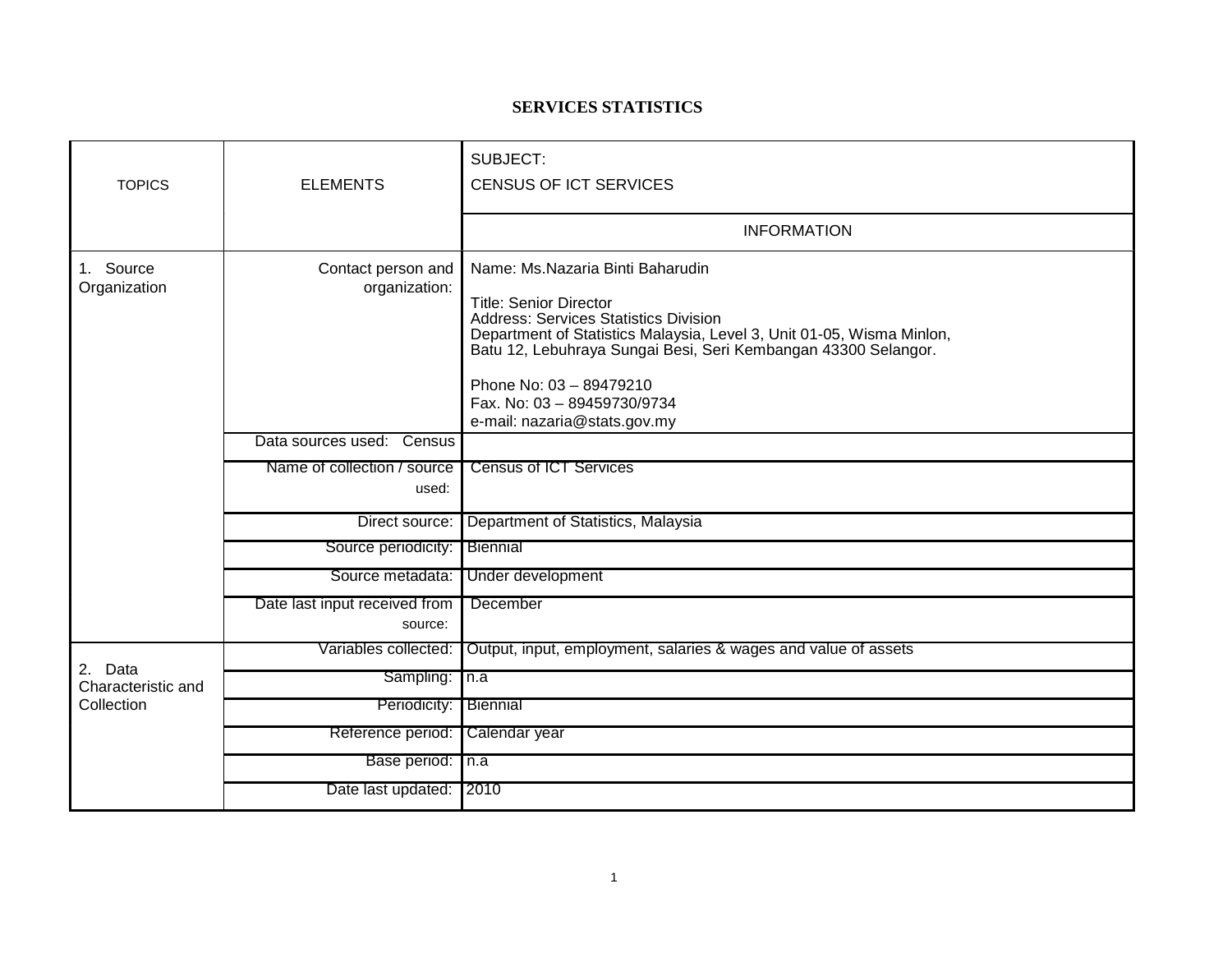## **SERVICES STATISTICS**

| <b>TOPICS</b>                               | <b>ELEMENTS</b>                          | SUBJECT:<br><b>CENSUS OF ICT SERVICES</b>                                                                                                                                                                                                                                                                                                              |
|---------------------------------------------|------------------------------------------|--------------------------------------------------------------------------------------------------------------------------------------------------------------------------------------------------------------------------------------------------------------------------------------------------------------------------------------------------------|
|                                             |                                          | <b>INFORMATION</b>                                                                                                                                                                                                                                                                                                                                     |
| Source<br>1.<br>Organization                | Contact person and<br>organization:      | Name: Ms.Nazaria Binti Baharudin<br><b>Title: Senior Director</b><br><b>Address: Services Statistics Division</b><br>Department of Statistics Malaysia, Level 3, Unit 01-05, Wisma Minlon,<br>Batu 12, Lebuhraya Sungai Besi, Seri Kembangan 43300 Selangor.<br>Phone No: 03 - 89479210<br>Fax. No: 03 - 89459730/9734<br>e-mail: nazaria@stats.gov.my |
|                                             | Data sources used: Census                |                                                                                                                                                                                                                                                                                                                                                        |
|                                             | Name of collection / source<br>used:     | <b>Census of ICT Services</b>                                                                                                                                                                                                                                                                                                                          |
|                                             | Direct source:                           | Department of Statistics, Malaysia                                                                                                                                                                                                                                                                                                                     |
|                                             | Source periodicity:                      | Biennial                                                                                                                                                                                                                                                                                                                                               |
|                                             | Source metadata:                         | Under development                                                                                                                                                                                                                                                                                                                                      |
|                                             | Date last input received from<br>source: | December                                                                                                                                                                                                                                                                                                                                               |
| 2. Data<br>Characteristic and<br>Collection | Variables collected:                     | Output, input, employment, salaries & wages and value of assets                                                                                                                                                                                                                                                                                        |
|                                             | Sampling:                                | $\sqrt{n}$ .a                                                                                                                                                                                                                                                                                                                                          |
|                                             | Periodicity:                             | Biennial                                                                                                                                                                                                                                                                                                                                               |
|                                             | Reference period:                        | Calendar year                                                                                                                                                                                                                                                                                                                                          |
|                                             | Base period: n.a                         |                                                                                                                                                                                                                                                                                                                                                        |
|                                             | Date last updated: 2010                  |                                                                                                                                                                                                                                                                                                                                                        |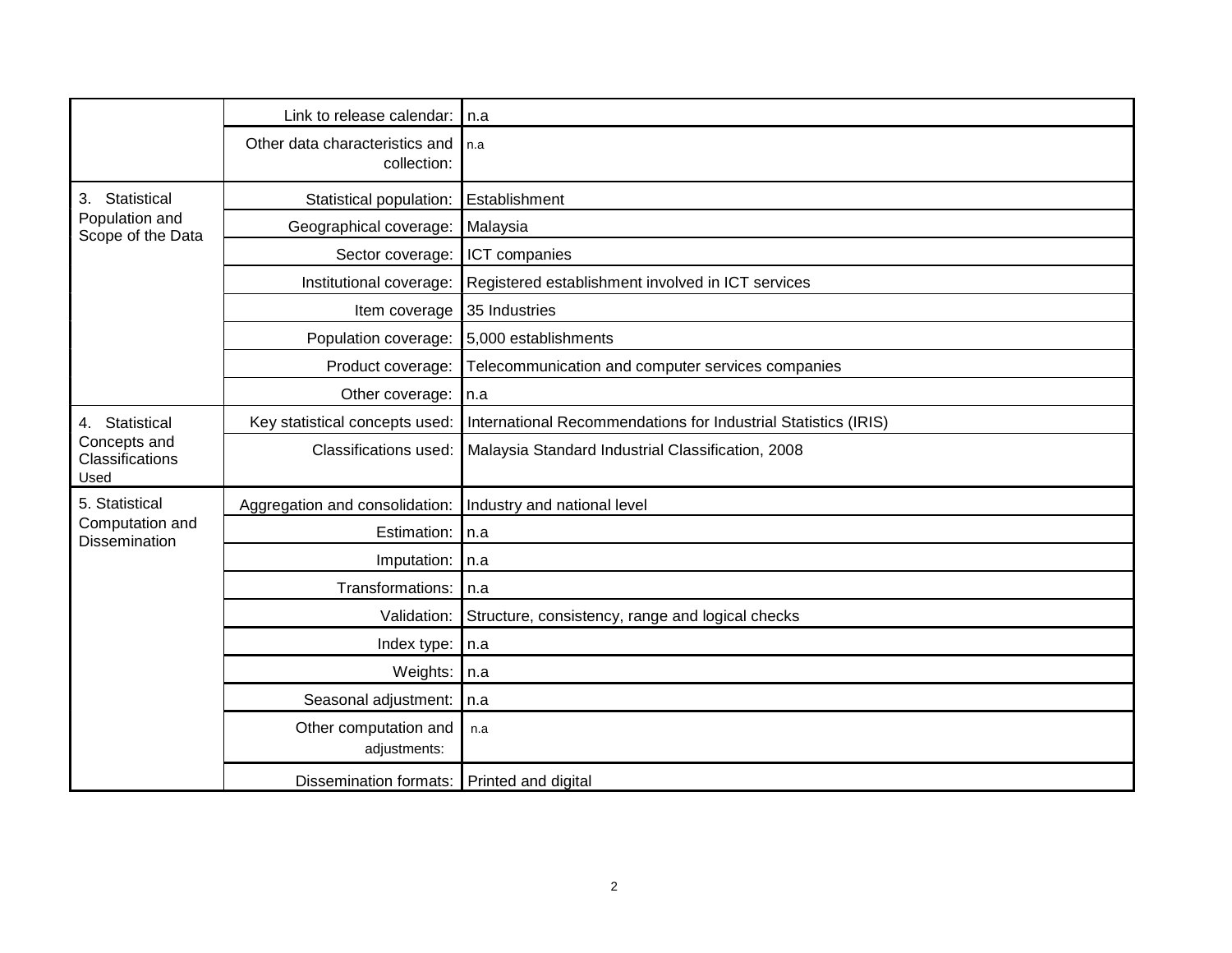|                                                          | Link to release calendar:                     | l n.a                                                          |
|----------------------------------------------------------|-----------------------------------------------|----------------------------------------------------------------|
|                                                          | Other data characteristics and<br>collection: | l n.a                                                          |
| Statistical<br>3.<br>Population and<br>Scope of the Data | Statistical population:                       | Establishment                                                  |
|                                                          | Geographical coverage:                        | Malaysia                                                       |
|                                                          | Sector coverage:                              | ICT companies                                                  |
|                                                          | Institutional coverage:                       | Registered establishment involved in ICT services              |
|                                                          | Item coverage                                 | 35 Industries                                                  |
|                                                          | Population coverage:                          | 5,000 establishments                                           |
|                                                          | Product coverage:                             | Telecommunication and computer services companies              |
|                                                          | Other coverage:   n.a                         |                                                                |
| 4. Statistical                                           | Key statistical concepts used:                | International Recommendations for Industrial Statistics (IRIS) |
| Concepts and<br>Classifications<br>Used                  | Classifications used:                         | Malaysia Standard Industrial Classification, 2008              |
| 5. Statistical                                           | Aggregation and consolidation:                | Industry and national level                                    |
| Computation and<br>Dissemination                         | Estimation:                                   | In.a                                                           |
|                                                          | Imputation:                                   | n.a                                                            |
|                                                          | Transformations:                              | n.a                                                            |
|                                                          | Validation:                                   | Structure, consistency, range and logical checks               |
|                                                          | Index type:                                   | n.a                                                            |
|                                                          | Weights:                                      | n.a                                                            |
|                                                          | Seasonal adjustment:                          | n.a                                                            |
|                                                          | Other computation and<br>adjustments:         | n.a                                                            |
|                                                          | Dissemination formats: Printed and digital    |                                                                |